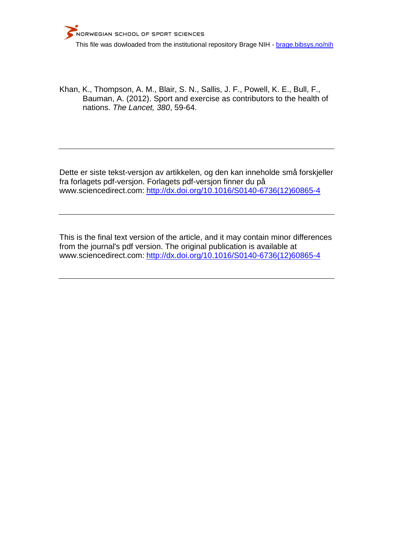

Khan, K., Thompson, A. M., Blair, S. N., Sallis, J. F., Powell, K. E., Bull, F., Bauman, A. (2012). Sport and exercise as contributors to the health of nations. *The Lancet, 380*, 59-64.

Dette er siste tekst-versjon av artikkelen, og den kan inneholde små forskjeller fra forlagets pdf-versjon. Forlagets pdf-versjon finner du på www.sciencedirect.com: [http://dx.doi.org/10.1016/S0140-6736\(12\)60865-4](http://dx.doi.org/10.1016/S0140-6736(12)60865-4)

This is the final text version of the article, and it may contain minor differences from the journal's pdf version. The original publication is available at www.sciencedirect.com: [http://dx.doi.org/10.1016/S0140-6736\(12\)60865-4](http://dx.doi.org/10.1016/S0140-6736(12)60865-4)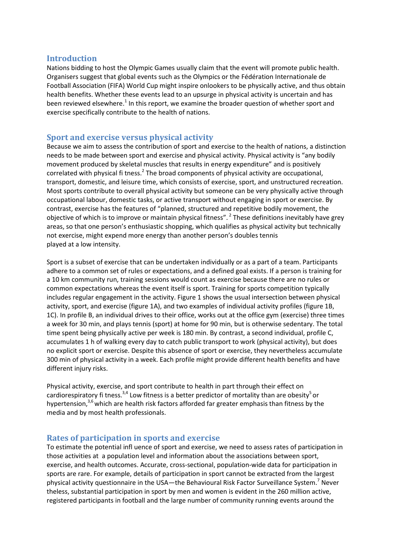#### **Introduction**

Nations bidding to host the Olympic Games usually claim that the event will promote public health. Organisers suggest that global events such as the Olympics or the Fédération Internationale de Football Association (FIFA) World Cup might inspire onlookers to be physically active, and thus obtain health benefits. Whether these events lead to an upsurge in physical activity is uncertain and has been reviewed elsewhere.<sup>1</sup> In this report, we examine the broader question of whether sport and exercise specifically contribute to the health of nations.

## **Sport and exercise versus physical activity**

Because we aim to assess the contribution of sport and exercise to the health of nations, a distinction needs to be made between sport and exercise and physical activity. Physical activity is "any bodily movement produced by skeletal muscles that results in energy expenditure" and is positively correlated with physical fi tness.<sup>2</sup> The broad components of physical activity are occupational, transport, domestic, and leisure time, which consists of exercise, sport, and unstructured recreation. Most sports contribute to overall physical activity but someone can be very physically active through occupational labour, domestic tasks, or active transport without engaging in sport or exercise. By contrast, exercise has the features of "planned, structured and repetitive bodily movement, the objective of which is to improve or maintain physical fitness". <sup>2</sup> These definitions inevitably have grey areas, so that one person's enthusiastic shopping, which qualifies as physical activity but technically not exercise, might expend more energy than another person's doubles tennis played at a low intensity.

Sport is a subset of exercise that can be undertaken individually or as a part of a team. Participants adhere to a common set of rules or expectations, and a defined goal exists. If a person is training for a 10 km community run, training sessions would count as exercise because there are no rules or common expectations whereas the event itself is sport. Training for sports competition typically includes regular engagement in the activity. Figure 1 shows the usual intersection between physical activity, sport, and exercise (figure 1A), and two examples of individual activity profiles (figure 1B, 1C). In profile B, an individual drives to their office, works out at the office gym (exercise) three times a week for 30 min, and plays tennis (sport) at home for 90 min, but is otherwise sedentary. The total time spent being physically active per week is 180 min. By contrast, a second individual, profile C, accumulates 1 h of walking every day to catch public transport to work (physical activity), but does no explicit sport or exercise. Despite this absence of sport or exercise, they nevertheless accumulate 300 min of physical activity in a week. Each profile might provide different health benefits and have different injury risks.

Physical activity, exercise, and sport contribute to health in part through their effect on cardiorespiratory fi tness.<sup>3,4</sup> Low fitness is a better predictor of mortality than are obesity<sup>5</sup> or hypertension, $3,6$  which are health risk factors afforded far greater emphasis than fitness by the media and by most health professionals.

## **Rates of participation in sports and exercise**

To estimate the potential infl uence of sport and exercise, we need to assess rates of participation in those activities at a population level and information about the associations between sport, exercise, and health outcomes. Accurate, cross-sectional, population-wide data for participation in sports are rare. For example, details of participation in sport cannot be extracted from the largest physical activity questionnaire in the USA—the Behavioural Risk Factor Surveillance System.<sup>7</sup> Never theless, substantial participation in sport by men and women is evident in the 260 million active, registered participants in football and the large number of community running events around the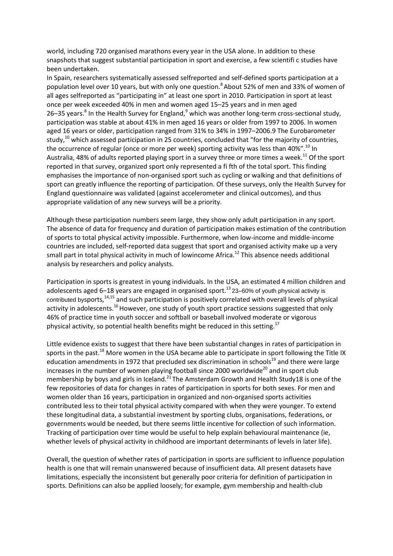world, including 720 organised marathons every year in the USA alone. In addition to these snapshots that suggest substantial participation in sport and exercise, a few scientifi c studies have been undertaken.

In Spain, researchers systematically assessed selfreported and self-defined sports participation at a population level over 10 years, but with only one question.<sup>8</sup> About 52% of men and 33% of women of all ages selfreported as "participating in" at least one sport in 2010. Participation in sport at least once per week exceeded 40% in men and women aged 15–25 years and in men aged 26–35 years.<sup>8</sup> In the Health Survey for England,<sup>9</sup> which was another long-term cross-sectional study, participation was stable at about 41% in men aged 16 years or older from 1997 to 2006. In women aged 16 years or older, participation ranged from 31% to 34% in 1997–2006.9 The Eurobarometer study, $^{10}$  which assessed participation in 25 countries, concluded that "for the majority of countries, the occurrence of regular (once or more per week) sporting activity was less than 40%".<sup>10</sup> In Australia, 48% of adults reported playing sport in a survey three or more times a week.<sup>11</sup> Of the sport reported in that survey, organized sport only represented a fi fth of the total sport. This finding emphasises the importance of non-organised sport such as cycling or walking and that definitions of sport can greatly influence the reporting of participation. Of these surveys, only the Health Survey for England questionnaire was validated (against accelerometer and clinical outcomes), and thus appropriate validation of any new surveys will be a priority.

Although these participation numbers seem large, they show only adult participation in any sport. The absence of data for frequency and duration of participation makes estimation of the contribution of sports to total physical activity impossible. Furthermore, when low-income and middle-income countries are included, self-reported data suggest that sport and organised activity make up a very small part in total physical activity in much of lowincome Africa.<sup>12</sup> This absence needs additional analysis by researchers and policy analysts.

Participation in sports is greatest in young individuals. In the USA, an estimated 4 million children and adolescents aged 6–18 years are engaged in organised sport.<sup>13</sup> 23–60% of youth physical activity is contributed bysports,<sup>14,15</sup> and such participation is positively correlated with overall levels of physical activity in adolescents.<sup>16</sup> However, one study of youth sport practice sessions suggested that only 46% of practice time in youth soccer and softball or baseball involved moderate or vigorous physical activity, so potential health benefits might be reduced in this setting.<sup>17</sup>

Little evidence exists to suggest that there have been substantial changes in rates of participation in sports in the past.<sup>18</sup> More women in the USA became able to participate in sport following the Title IX education amendments in 1972 that precluded sex discrimination in schools<sup>19</sup> and there were large increases in the number of women playing football since 2000 worldwide<sup>20</sup> and in sport club membership by boys and girls in Iceland.<sup>21</sup> The Amsterdam Growth and Health Study18 is one of the few repositories of data for changes in rates of participation in sports for both sexes. For men and women older than 16 years, participation in organized and non-organised sports activities contributed less to their total physical activity compared with when they were younger. To extend these longitudinal data, a substantial investment by sporting clubs, organisations, federations, or governments would be needed, but there seems little incentive for collection of such information. Tracking of participation over time would be useful to help explain behavioural maintenance (ie, whether levels of physical activity in childhood are important determinants of levels in later life).

Overall, the question of whether rates of participation in sports are sufficient to influence population health is one that will remain unanswered because of insufficient data. All present datasets have limitations, especially the inconsistent but generally poor criteria for definition of participation in sports. Definitions can also be applied loosely; for example, gym membership and health-club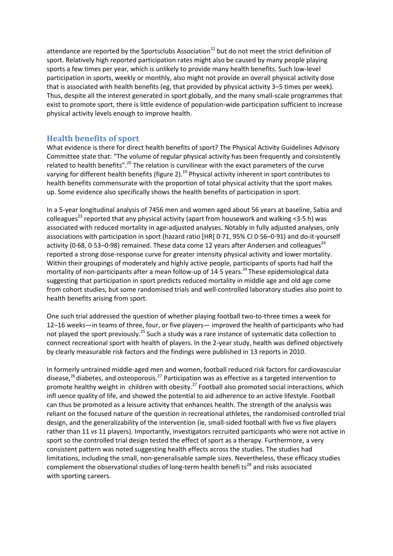attendance are reported by the Sportsclubs Association<sup>22</sup> but do not meet the strict definition of sport. Relatively high reported participation rates might also be caused by many people playing sports a few times per year, which is unlikely to provide many health benefits. Such low-level participation in sports, weekly or monthly, also might not provide an overall physical activity dose that is associated with health benefits (eg, that provided by physical activity 3–5 times per week). Thus, despite all the interest generated in sport globally, and the many small-scale programmes that exist to promote sport, there is little evidence of population-wide participation sufficient to increase physical activity levels enough to improve health.

# **Health benefits of sport**

What evidence is there for direct health benefits of sport? The Physical Activity Guidelines Advisory Committee state that: "The volume of regular physical activity has been frequently and consistently related to health benefits".<sup>20</sup> The relation is curvilinear with the exact parameters of the curve varying for different health benefits (figure 2).<sup>19</sup> Physical activity inherent in sport contributes to health benefits commensurate with the proportion of total physical activity that the sport makes up. Some evidence also specifically shows the health benefits of participation in sport.

In a 5-year longitudinal analysis of 7456 men and women aged about 56 years at baseline, Sabia and colleagues<sup>23</sup> reported that any physical activity (apart from housework and walking <3.5 h) was associated with reduced mortality in age-adjusted analyses. Notably in fully adjusted analyses, only associations with participation in sport (hazard ratio [HR] 0·71, 95% CI 0·56–0·91) and do-it-yourself activity (0.68, 0.53–0.98) remained. These data come 12 years after Andersen and colleagues<sup>24</sup> reported a strong dose-response curve for greater intensity physical activity and lower mortality. Within their groupings of moderately and highly active people, participants of sports had half the mortality of non-participants after a mean follow-up of 14.5 years.<sup>24</sup> These epidemiological data suggesting that participation in sport predicts reduced mortality in middle age and old age come from cohort studies, but some randomised trials and well-controlled laboratory studies also point to health benefits arising from sport.

One such trial addressed the question of whether playing football two-to-three times a week for 12–16 weeks—in teams of three, four, or five players— improved the health of participants who had not played the sport previously.<sup>25</sup> Such a study was a rare instance of systematic data collection to connect recreational sport with health of players. In the 2-year study, health was defined objectively by clearly measurable risk factors and the findings were published in 13 reports in 2010.

In formerly untrained middle-aged men and women, football reduced risk factors for cardiovascular disease, $^{26}$  diabetes, and osteoporosis.<sup>27</sup> Participation was as effective as a targeted intervention to promote healthy weight in children with obesity.<sup>27</sup> Football also promoted social interactions, which infl uence quality of life, and showed the potential to aid adherence to an active lifestyle. Football can thus be promoted as a leisure activity that enhances health. The strength of the analysis was reliant on the focused nature of the question in recreational athletes, the randomised controlled trial design, and the generalizability of the intervention (ie, small-sided football with five *vs* five players rather than 11 *vs* 11 players). Importantly, investigators recruited participants who were not active in sport so the controlled trial design tested the effect of sport as a therapy. Furthermore, a very consistent pattern was noted suggesting health effects across the studies. The studies had limitations, including the small, non-generalisable sample sizes. Nevertheless, these efficacy studies complement the observational studies of long-term health benefits<sup>28</sup> and risks associated with sporting careers.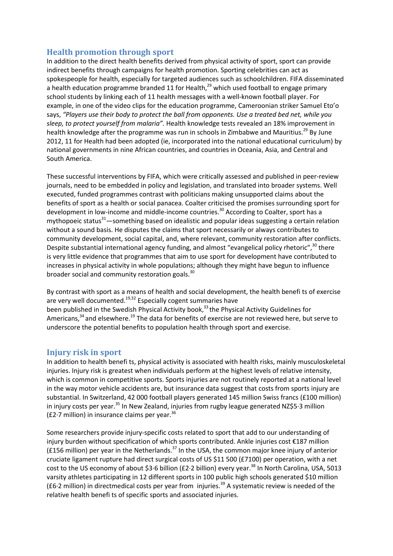# **Health promotion through sport**

In addition to the direct health benefits derived from physical activity of sport, sport can provide indirect benefits through campaigns for health promotion. Sporting celebrities can act as spokespeople for health, especially for targeted audiences such as schoolchildren. FIFA disseminated a health education programme branded 11 for Health, $^{29}$  which used football to engage primary school students by linking each of 11 health messages with a well-known football player. For example, in one of the video clips for the education programme, Cameroonian striker Samuel Eto'o says, *"Players use their body to protect the ball from opponents. Use a treated bed net, while you sleep, to protect yourself from malaria".* Health knowledge tests revealed an 18% improvement in health knowledge after the programme was run in schools in Zimbabwe and Mauritius.<sup>29</sup> By June 2012, 11 for Health had been adopted (ie, incorporated into the national educational curriculum) by national governments in nine African countries, and countries in Oceania, Asia, and Central and South America.

These successful interventions by FIFA, which were critically assessed and published in peer-review journals, need to be embedded in policy and legislation, and translated into broader systems. Well executed, funded programmes contrast with politicians making unsupported claims about the benefits of sport as a health or social panacea. Coalter criticised the promises surrounding sport for development in low-income and middle-income countries.<sup>30</sup> According to Coalter, sport has a mythopoeic status $31$ —something based on idealistic and popular ideas suggesting a certain relation without a sound basis. He disputes the claims that sport necessarily or always contributes to community development, social capital, and, where relevant, community restoration after conflicts. Despite substantial international agency funding, and almost "evangelical policy rhetoric",<sup>30</sup> there is very little evidence that programmes that aim to use sport for development have contributed to increases in physical activity in whole populations; although they might have begun to influence broader social and community restoration goals.<sup>30</sup>

By contrast with sport as a means of health and social development, the health benefi ts of exercise are very well documented.<sup>19,32</sup> Especially cogent summaries have been published in the Swedish Physical Activity book,<sup>33</sup> the Physical Activity Guidelines for Americans,<sup>34</sup> and elsewhere.<sup>19</sup> The data for benefits of exercise are not reviewed here, but serve to underscore the potential benefits to population health through sport and exercise.

### **Injury risk in sport**

In addition to health benefi ts, physical activity is associated with health risks, mainly musculoskeletal injuries. Injury risk is greatest when individuals perform at the highest levels of relative intensity, which is common in competitive sports. Sports injuries are not routinely reported at a national level in the way motor vehicle accidents are, but insurance data suggest that costs from sports injury are substantial. In Switzerland, 42 000 football players generated 145 million Swiss francs (£100 million) in injury costs per year.<sup>35</sup> In New Zealand, injuries from rugby league generated NZ\$5.3 million (£2.7 million) in insurance claims per year. $36$ 

Some researchers provide injury-specific costs related to sport that add to our understanding of injury burden without specification of which sports contributed. Ankle injuries cost €187 million (£156 million) per year in the Netherlands.<sup>37</sup> In the USA, the common major knee injury of anterior cruciate ligament rupture had direct surgical costs of US \$11 500 (£7100) per operation, with a net cost to the US economy of about \$3.6 billion (£2.2 billion) every year.<sup>38</sup> In North Carolina, USA, 5013 varsity athletes participating in 12 different sports in 100 public high schools generated \$10 million (£6.2 million) in directmedical costs per year from injuries.<sup>39</sup> A systematic review is needed of the relative health benefi ts of specific sports and associated injuries.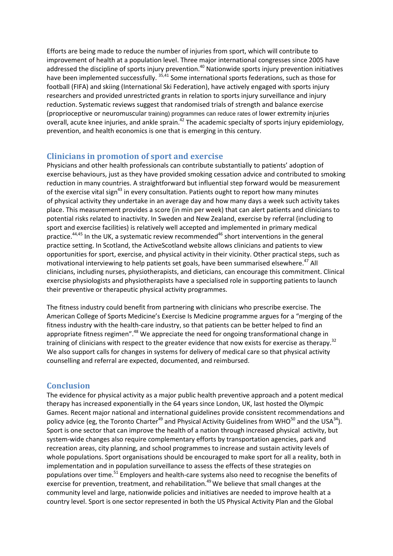Efforts are being made to reduce the number of injuries from sport, which will contribute to improvement of health at a population level. Three major international congresses since 2005 have addressed the discipline of sports injury prevention.<sup>40</sup> Nationwide sports injury prevention initiatives have been implemented successfully. 35,41 Some international sports federations, such as those for football (FIFA) and skiing (International Ski Federation), have actively engaged with sports injury researchers and provided unrestricted grants in relation to sports injury surveillance and injury reduction. Systematic reviews suggest that randomised trials of strength and balance exercise (proprioceptive or neuromuscular training) programmes can reduce rates of lower extremity injuries overall, acute knee injuries, and ankle sprain.<sup>42</sup> The academic specialty of sports injury epidemiology, prevention, and health economics is one that is emerging in this century.

## **Clinicians in promotion of sport and exercise**

Physicians and other health professionals can contribute substantially to patients' adoption of exercise behaviours, just as they have provided smoking cessation advice and contributed to smoking reduction in many countries. A straightforward but influential step forward would be measurement of the exercise vital sign<sup>43</sup> in every consultation. Patients ought to report how many minutes of physical activity they undertake in an average day and how many days a week such activity takes place. This measurement provides a score (in min per week) that can alert patients and clinicians to potential risks related to inactivity. In Sweden and New Zealand, exercise by referral (including to sport and exercise facilities) is relatively well accepted and implemented in primary medical practice.<sup>44,45</sup> In the UK, a systematic review recommended<sup>46</sup> short interventions in the general practice setting. In Scotland, the ActiveScotland website allows clinicians and patients to view opportunities for sport, exercise, and physical activity in their vicinity. Other practical steps, such as motivational interviewing to help patients set goals, have been summarised elsewhere.<sup>47</sup> All clinicians, including nurses, physiotherapists, and dieticians, can encourage this commitment. Clinical exercise physiologists and physiotherapists have a specialised role in supporting patients to launch their preventive or therapeutic physical activity programmes.

The fitness industry could benefit from partnering with clinicians who prescribe exercise. The American College of Sports Medicine's Exercise Is Medicine programme argues for a "merging of the fitness industry with the health-care industry, so that patients can be better helped to find an appropriate fitness regimen".<sup>48</sup> We appreciate the need for ongoing transformational change in training of clinicians with respect to the greater evidence that now exists for exercise as therapy.<sup>32</sup> We also support calls for changes in systems for delivery of medical care so that physical activity counselling and referral are expected, documented, and reimbursed.

## **Conclusion**

The evidence for physical activity as a major public health preventive approach and a potent medical therapy has increased exponentially in the 64 years since London, UK, last hosted the Olympic Games. Recent major national and international guidelines provide consistent recommendations and policy advice (eg, the Toronto Charter<sup>49</sup> and Physical Activity Guidelines from WHO<sup>50</sup> and the USA<sup>34</sup>). Sport is one sector that can improve the health of a nation through increased physical activity, but system-wide changes also require complementary efforts by transportation agencies, park and recreation areas, city planning, and school programmes to increase and sustain activity levels of whole populations. Sport organisations should be encouraged to make sport for all a reality, both in implementation and in population surveillance to assess the effects of these strategies on populations over time.<sup>51</sup> Employers and health-care systems also need to recognise the benefits of exercise for prevention, treatment, and rehabilitation.<sup>49</sup> We believe that small changes at the community level and large, nationwide policies and initiatives are needed to improve health at a country level. Sport is one sector represented in both the US Physical Activity Plan and the Global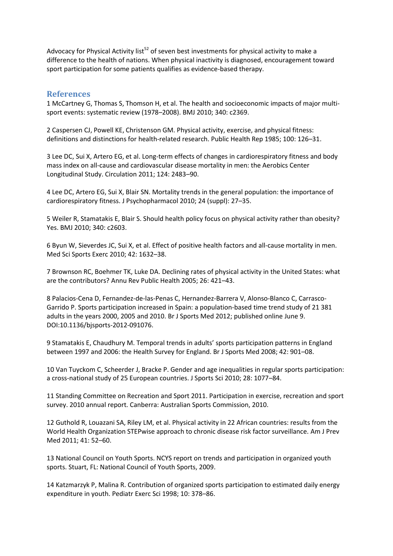Advocacy for Physical Activity list<sup>52</sup> of seven best investments for physical activity to make a difference to the health of nations. When physical inactivity is diagnosed, encouragement toward sport participation for some patients qualifies as evidence-based therapy.

#### **References**

1 McCartney G, Thomas S, Thomson H, et al. The health and socioeconomic impacts of major multisport events: systematic review (1978–2008). BMJ 2010; 340: c2369.

2 Caspersen CJ, Powell KE, Christenson GM. Physical activity, exercise, and physical fitness: definitions and distinctions for health-related research. Public Health Rep 1985; 100: 126–31.

3 Lee DC, Sui X, Artero EG, et al. Long-term effects of changes in cardiorespiratory fitness and body mass index on all-cause and cardiovascular disease mortality in men: the Aerobics Center Longitudinal Study. Circulation 2011; 124: 2483–90.

4 Lee DC, Artero EG, Sui X, Blair SN. Mortality trends in the general population: the importance of cardiorespiratory fitness. J Psychopharmacol 2010; 24 (suppl): 27–35.

5 Weiler R, Stamatakis E, Blair S. Should health policy focus on physical activity rather than obesity? Yes. BMJ 2010; 340: c2603.

6 Byun W, Sieverdes JC, Sui X, et al. Effect of positive health factors and all-cause mortality in men. Med Sci Sports Exerc 2010; 42: 1632–38.

7 Brownson RC, Boehmer TK, Luke DA. Declining rates of physical activity in the United States: what are the contributors? Annu Rev Public Health 2005; 26: 421–43.

8 Palacios-Cena D, Fernandez-de-las-Penas C, Hernandez-Barrera V, Alonso-Blanco C, Carrasco-Garrido P. Sports participation increased in Spain: a population-based time trend study of 21 381 adults in the years 2000, 2005 and 2010. Br J Sports Med 2012; published online June 9. DOI:10.1136/bjsports-2012-091076.

9 Stamatakis E, Chaudhury M. Temporal trends in adults' sports participation patterns in England between 1997 and 2006: the Health Survey for England. Br J Sports Med 2008; 42: 901–08.

10 Van Tuyckom C, Scheerder J, Bracke P. Gender and age inequalities in regular sports participation: a cross-national study of 25 European countries. J Sports Sci 2010; 28: 1077–84.

11 Standing Committee on Recreation and Sport 2011. Participation in exercise, recreation and sport survey. 2010 annual report. Canberra: Australian Sports Commission, 2010.

12 Guthold R, Louazani SA, Riley LM, et al. Physical activity in 22 African countries: results from the World Health Organization STEPwise approach to chronic disease risk factor surveillance. Am J Prev Med 2011; 41: 52–60.

13 National Council on Youth Sports. NCYS report on trends and participation in organized youth sports. Stuart, FL: National Council of Youth Sports, 2009.

14 Katzmarzyk P, Malina R. Contribution of organized sports participation to estimated daily energy expenditure in youth. Pediatr Exerc Sci 1998; 10: 378–86.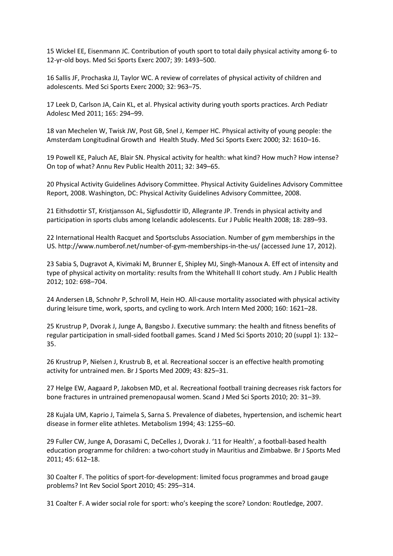15 Wickel EE, Eisenmann JC. Contribution of youth sport to total daily physical activity among 6- to 12-yr-old boys. Med Sci Sports Exerc 2007; 39: 1493–500.

16 Sallis JF, Prochaska JJ, Taylor WC. A review of correlates of physical activity of children and adolescents. Med Sci Sports Exerc 2000; 32: 963–75.

17 Leek D, Carlson JA, Cain KL, et al. Physical activity during youth sports practices. Arch Pediatr Adolesc Med 2011; 165: 294–99.

18 van Mechelen W, Twisk JW, Post GB, Snel J, Kemper HC. Physical activity of young people: the Amsterdam Longitudinal Growth and Health Study. Med Sci Sports Exerc 2000; 32: 1610–16.

19 Powell KE, Paluch AE, Blair SN. Physical activity for health: what kind? How much? How intense? On top of what? Annu Rev Public Health 2011; 32: 349–65.

20 Physical Activity Guidelines Advisory Committee. Physical Activity Guidelines Advisory Committee Report, 2008. Washington, DC: Physical Activity Guidelines Advisory Committee, 2008.

21 Eithsdottir ST, Kristjansson AL, Sigfusdottir ID, Allegrante JP. Trends in physical activity and participation in sports clubs among Icelandic adolescents. Eur J Public Health 2008; 18: 289–93.

22 International Health Racquet and Sportsclubs Association. Number of gym memberships in the US. http://www.numberof.net/number-of-gym-memberships-in-the-us/ (accessed June 17, 2012).

23 Sabia S, Dugravot A, Kivimaki M, Brunner E, Shipley MJ, Singh-Manoux A. Eff ect of intensity and type of physical activity on mortality: results from the Whitehall II cohort study. Am J Public Health 2012; 102: 698–704.

24 Andersen LB, Schnohr P, Schroll M, Hein HO. All-cause mortality associated with physical activity during leisure time, work, sports, and cycling to work. Arch Intern Med 2000; 160: 1621–28.

25 Krustrup P, Dvorak J, Junge A, Bangsbo J. Executive summary: the health and fitness benefits of regular participation in small-sided football games. Scand J Med Sci Sports 2010; 20 (suppl 1): 132– 35.

26 Krustrup P, Nielsen J, Krustrub B, et al. Recreational soccer is an effective health promoting activity for untrained men. Br J Sports Med 2009; 43: 825–31.

27 Helge EW, Aagaard P, Jakobsen MD, et al. Recreational football training decreases risk factors for bone fractures in untrained premenopausal women. Scand J Med Sci Sports 2010; 20: 31–39.

28 Kujala UM, Kaprio J, Taimela S, Sarna S. Prevalence of diabetes, hypertension, and ischemic heart disease in former elite athletes. Metabolism 1994; 43: 1255–60.

29 Fuller CW, Junge A, Dorasami C, DeCelles J, Dvorak J. '11 for Health', a football-based health education programme for children: a two-cohort study in Mauritius and Zimbabwe. Br J Sports Med 2011; 45: 612–18.

30 Coalter F. The politics of sport-for-development: limited focus programmes and broad gauge problems? Int Rev Sociol Sport 2010; 45: 295–314.

31 Coalter F. A wider social role for sport: who's keeping the score? London: Routledge, 2007.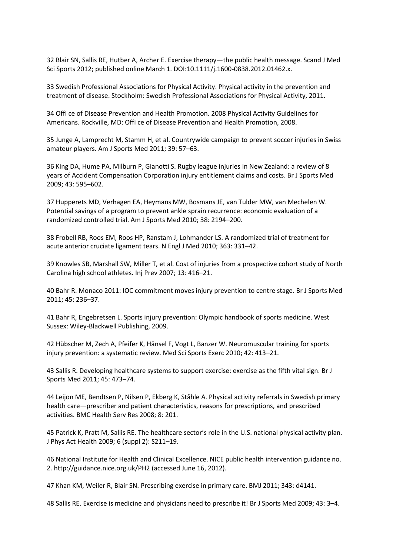32 Blair SN, Sallis RE, Hutber A, Archer E. Exercise therapy—the public health message. Scand J Med Sci Sports 2012; published online March 1. DOI:10.1111/j.1600-0838.2012.01462.x.

33 Swedish Professional Associations for Physical Activity. Physical activity in the prevention and treatment of disease. Stockholm: Swedish Professional Associations for Physical Activity, 2011.

34 Offi ce of Disease Prevention and Health Promotion. 2008 Physical Activity Guidelines for Americans. Rockville, MD: Offi ce of Disease Prevention and Health Promotion, 2008.

35 Junge A, Lamprecht M, Stamm H, et al. Countrywide campaign to prevent soccer injuries in Swiss amateur players. Am J Sports Med 2011; 39: 57–63.

36 King DA, Hume PA, Milburn P, Gianotti S. Rugby league injuries in New Zealand: a review of 8 years of Accident Compensation Corporation injury entitlement claims and costs. Br J Sports Med 2009; 43: 595–602.

37 Hupperets MD, Verhagen EA, Heymans MW, Bosmans JE, van Tulder MW, van Mechelen W. Potential savings of a program to prevent ankle sprain recurrence: economic evaluation of a randomized controlled trial. Am J Sports Med 2010; 38: 2194–200.

38 Frobell RB, Roos EM, Roos HP, Ranstam J, Lohmander LS. A randomized trial of treatment for acute anterior cruciate ligament tears. N Engl J Med 2010; 363: 331–42.

39 Knowles SB, Marshall SW, Miller T, et al. Cost of injuries from a prospective cohort study of North Carolina high school athletes. Inj Prev 2007; 13: 416–21.

40 Bahr R. Monaco 2011: IOC commitment moves injury prevention to centre stage. Br J Sports Med 2011; 45: 236–37.

41 Bahr R, Engebretsen L. Sports injury prevention: Olympic handbook of sports medicine. West Sussex: Wiley-Blackwell Publishing, 2009.

42 Hübscher M, Zech A, Pfeifer K, Hänsel F, Vogt L, Banzer W. Neuromuscular training for sports injury prevention: a systematic review. Med Sci Sports Exerc 2010; 42: 413–21.

43 Sallis R. Developing healthcare systems to support exercise: exercise as the fifth vital sign. Br J Sports Med 2011; 45: 473–74.

44 Leijon ME, Bendtsen P, Nilsen P, Ekberg K, Ståhle A. Physical activity referrals in Swedish primary health care—prescriber and patient characteristics, reasons for prescriptions, and prescribed activities. BMC Health Serv Res 2008; 8: 201.

45 Patrick K, Pratt M, Sallis RE. The healthcare sector's role in the U.S. national physical activity plan. J Phys Act Health 2009; 6 (suppl 2): S211–19.

46 National Institute for Health and Clinical Excellence. NICE public health intervention guidance no. 2. http://guidance.nice.org.uk/PH2 (accessed June 16, 2012).

47 Khan KM, Weiler R, Blair SN. Prescribing exercise in primary care. BMJ 2011; 343: d4141.

48 Sallis RE. Exercise is medicine and physicians need to prescribe it! Br J Sports Med 2009; 43: 3–4.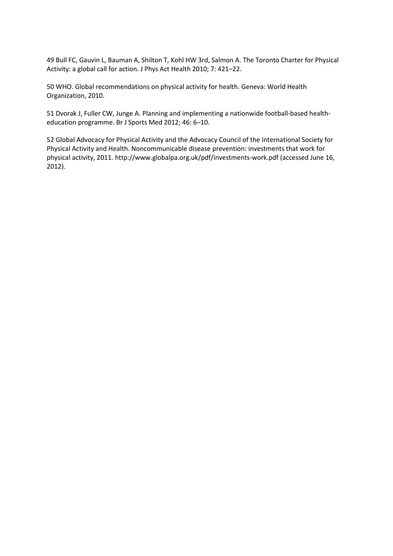49 Bull FC, Gauvin L, Bauman A, Shilton T, Kohl HW 3rd, Salmon A. The Toronto Charter for Physical Activity: a global call for action. J Phys Act Health 2010; 7: 421–22.

50 WHO. Global recommendations on physical activity for health. Geneva: World Health Organization, 2010.

51 Dvorak J, Fuller CW, Junge A. Planning and implementing a nationwide football-based healtheducation programme. Br J Sports Med 2012; 46: 6–10.

52 Global Advocacy for Physical Activity and the Advocacy Council of the International Society for Physical Activity and Health. Noncommunicable disease prevention: investments that work for physical activity, 2011. http://www.globalpa.org.uk/pdf/investments-work.pdf (accessed June 16, 2012).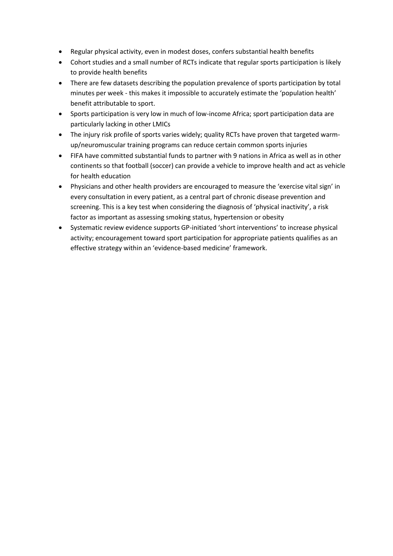- Regular physical activity, even in modest doses, confers substantial health benefits
- Cohort studies and a small number of RCTs indicate that regular sports participation is likely to provide health benefits
- There are few datasets describing the population prevalence of sports participation by total minutes per week - this makes it impossible to accurately estimate the 'population health' benefit attributable to sport.
- Sports participation is very low in much of low-income Africa; sport participation data are particularly lacking in other LMICs
- The injury risk profile of sports varies widely; quality RCTs have proven that targeted warmup/neuromuscular training programs can reduce certain common sports injuries
- FIFA have committed substantial funds to partner with 9 nations in Africa as well as in other continents so that football (soccer) can provide a vehicle to improve health and act as vehicle for health education
- Physicians and other health providers are encouraged to measure the 'exercise vital sign' in every consultation in every patient, as a central part of chronic disease prevention and screening. This is a key test when considering the diagnosis of 'physical inactivity', a risk factor as important as assessing smoking status, hypertension or obesity
- Systematic review evidence supports GP-initiated 'short interventions' to increase physical activity; encouragement toward sport participation for appropriate patients qualifies as an effective strategy within an 'evidence-based medicine' framework.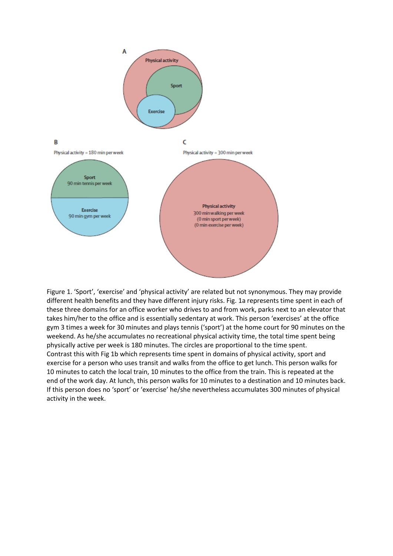

Figure 1. 'Sport', 'exercise' and 'physical activity' are related but not synonymous. They may provide different health benefits and they have different injury risks. Fig. 1a represents time spent in each of these three domains for an office worker who drives to and from work, parks next to an elevator that takes him/her to the office and is essentially sedentary at work. This person 'exercises' at the office gym 3 times a week for 30 minutes and plays tennis ('sport') at the home court for 90 minutes on the weekend. As he/she accumulates no recreational physical activity time, the total time spent being physically active per week is 180 minutes. The circles are proportional to the time spent. Contrast this with Fig 1b which represents time spent in domains of physical activity, sport and exercise for a person who uses transit and walks from the office to get lunch. This person walks for 10 minutes to catch the local train, 10 minutes to the office from the train. This is repeated at the end of the work day. At lunch, this person walks for 10 minutes to a destination and 10 minutes back. If this person does no 'sport' or 'exercise' he/she nevertheless accumulates 300 minutes of physical activity in the week.